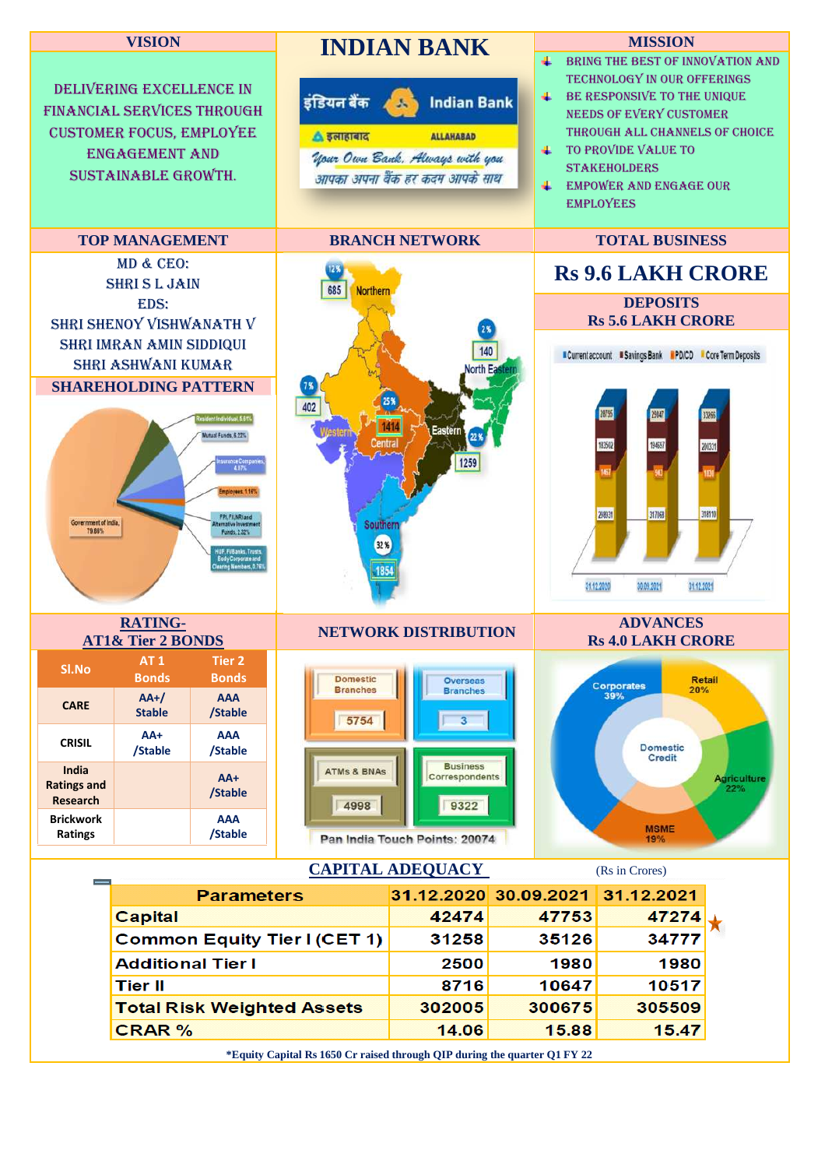

**\*Equity Capital Rs 1650 Cr raised through QIP during the quarter Q1 FY 22**